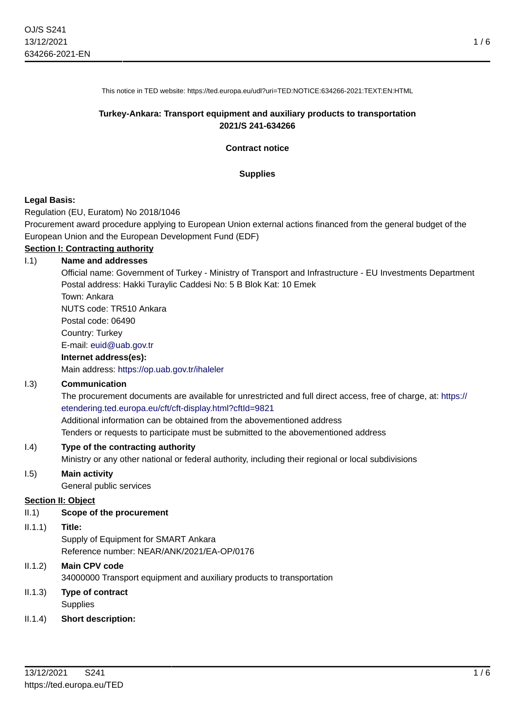1 / 6

This notice in TED website: https://ted.europa.eu/udl?uri=TED:NOTICE:634266-2021:TEXT:EN:HTML

#### **Turkey-Ankara: Transport equipment and auxiliary products to transportation 2021/S 241-634266**

**Contract notice**

#### **Supplies**

#### **Legal Basis:**

Regulation (EU, Euratom) No 2018/1046

Procurement award procedure applying to European Union external actions financed from the general budget of the European Union and the European Development Fund (EDF)

# **Section I: Contracting authority**

#### I.1) **Name and addresses**

Official name: Government of Turkey - Ministry of Transport and Infrastructure - EU Investments Department Postal address: Hakki Turaylic Caddesi No: 5 B Blok Kat: 10 Emek

Town: Ankara NUTS code: TR510 Ankara

Postal code: 06490

Country: Turkey

#### E-mail: [euid@uab.gov.tr](mailto:euid@uab.gov.tr)

#### **Internet address(es):**

Main address:<https://op.uab.gov.tr/ihaleler>

#### I.3) **Communication**

The procurement documents are available for unrestricted and full direct access, free of charge, at: [https://](https://etendering.ted.europa.eu/cft/cft-display.html?cftId=9821) [etendering.ted.europa.eu/cft/cft-display.html?cftId=9821](https://etendering.ted.europa.eu/cft/cft-display.html?cftId=9821)

Additional information can be obtained from the abovementioned address

Tenders or requests to participate must be submitted to the abovementioned address

#### I.4) **Type of the contracting authority**

Ministry or any other national or federal authority, including their regional or local subdivisions

#### I.5) **Main activity**

General public services

#### **Section II: Object**

#### II.1) **Scope of the procurement**

II.1.1) **Title:**

Supply of Equipment for SMART Ankara Reference number: NEAR/ANK/2021/EA-OP/0176

# II.1.2) **Main CPV code** 34000000 Transport equipment and auxiliary products to transportation

II.1.3) **Type of contract Supplies** 

# II.1.4) **Short description:**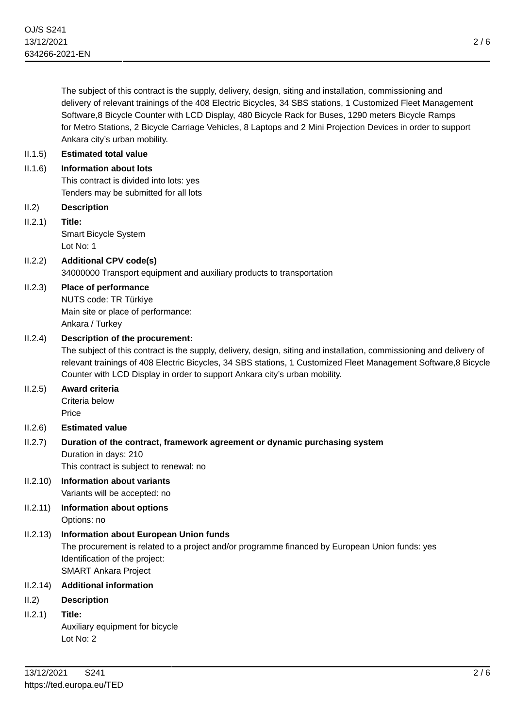The subject of this contract is the supply, delivery, design, siting and installation, commissioning and delivery of relevant trainings of the 408 Electric Bicycles, 34 SBS stations, 1 Customized Fleet Management Software,8 Bicycle Counter with LCD Display, 480 Bicycle Rack for Buses, 1290 meters Bicycle Ramps for Metro Stations, 2 Bicycle Carriage Vehicles, 8 Laptops and 2 Mini Projection Devices in order to support Ankara city's urban mobility.

# II.1.5) **Estimated total value**

## II.1.6) **Information about lots**

This contract is divided into lots: yes Tenders may be submitted for all lots

II.2) **Description**

## II.2.1) **Title:**

Smart Bicycle System Lot No: 1

# II.2.2) **Additional CPV code(s)** 34000000 Transport equipment and auxiliary products to transportation

II.2.3) **Place of performance**

NUTS code: TR Türkiye Main site or place of performance: Ankara / Turkey

## II.2.4) **Description of the procurement:**

The subject of this contract is the supply, delivery, design, siting and installation, commissioning and delivery of relevant trainings of 408 Electric Bicycles, 34 SBS stations, 1 Customized Fleet Management Software,8 Bicycle Counter with LCD Display in order to support Ankara city's urban mobility.

# II.2.5) **Award criteria**

Criteria below Price

# II.2.6) **Estimated value**

# II.2.7) **Duration of the contract, framework agreement or dynamic purchasing system** Duration in days: 210 This contract is subject to renewal: no

- II.2.10) **Information about variants** Variants will be accepted: no
- II.2.11) **Information about options** Options: no

# II.2.13) **Information about European Union funds**

The procurement is related to a project and/or programme financed by European Union funds: yes Identification of the project: SMART Ankara Project

# II.2.14) **Additional information**

- II.2) **Description**
- II.2.1) **Title:**

Auxiliary equipment for bicycle Lot No: 2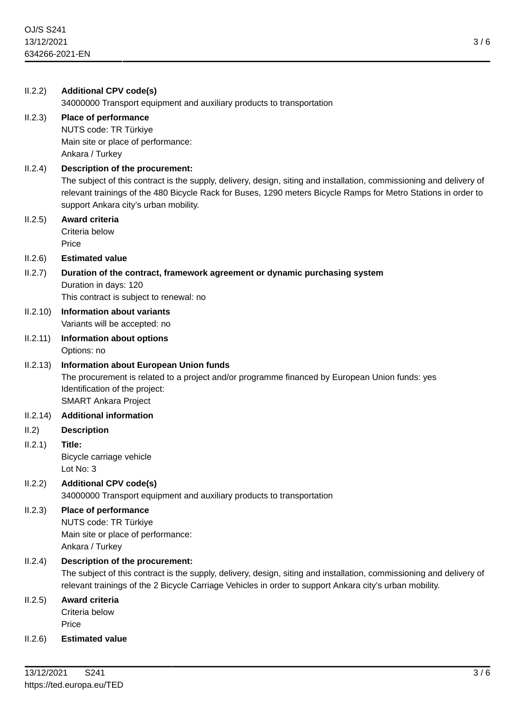| II.2.2)  | <b>Additional CPV code(s)</b><br>34000000 Transport equipment and auxiliary products to transportation                                                                                                                                                                                                             |
|----------|--------------------------------------------------------------------------------------------------------------------------------------------------------------------------------------------------------------------------------------------------------------------------------------------------------------------|
| II.2.3)  | Place of performance<br>NUTS code: TR Türkiye<br>Main site or place of performance:<br>Ankara / Turkey                                                                                                                                                                                                             |
| II.2.4)  | Description of the procurement:<br>The subject of this contract is the supply, delivery, design, siting and installation, commissioning and delivery of<br>relevant trainings of the 480 Bicycle Rack for Buses, 1290 meters Bicycle Ramps for Metro Stations in order to<br>support Ankara city's urban mobility. |
| II.2.5)  | Award criteria<br>Criteria below<br>Price                                                                                                                                                                                                                                                                          |
| II.2.6)  | <b>Estimated value</b>                                                                                                                                                                                                                                                                                             |
| II.2.7)  | Duration of the contract, framework agreement or dynamic purchasing system<br>Duration in days: 120<br>This contract is subject to renewal: no                                                                                                                                                                     |
| II.2.10) | <b>Information about variants</b><br>Variants will be accepted: no                                                                                                                                                                                                                                                 |
| II.2.11) | <b>Information about options</b><br>Options: no                                                                                                                                                                                                                                                                    |
| II.2.13) | <b>Information about European Union funds</b><br>The procurement is related to a project and/or programme financed by European Union funds: yes<br>Identification of the project:<br><b>SMART Ankara Project</b>                                                                                                   |
| II.2.14) | <b>Additional information</b>                                                                                                                                                                                                                                                                                      |
| II.2)    | <b>Description</b>                                                                                                                                                                                                                                                                                                 |
| II.2.1)  | Title:<br>Bicycle carriage vehicle<br>Lot No: $3$                                                                                                                                                                                                                                                                  |
| II.2.2)  | <b>Additional CPV code(s)</b><br>34000000 Transport equipment and auxiliary products to transportation                                                                                                                                                                                                             |
| II.2.3)  | Place of performance<br>NUTS code: TR Türkiye<br>Main site or place of performance:<br>Ankara / Turkey                                                                                                                                                                                                             |
| II.2.4)  | Description of the procurement:<br>The subject of this contract is the supply, delivery, design, siting and installation, commissioning and delivery of<br>relevant trainings of the 2 Bicycle Carriage Vehicles in order to support Ankara city's urban mobility.                                                 |
| II.2.5)  | Award criteria<br>Criteria below<br>Price                                                                                                                                                                                                                                                                          |
| II.2.6)  | <b>Estimated value</b>                                                                                                                                                                                                                                                                                             |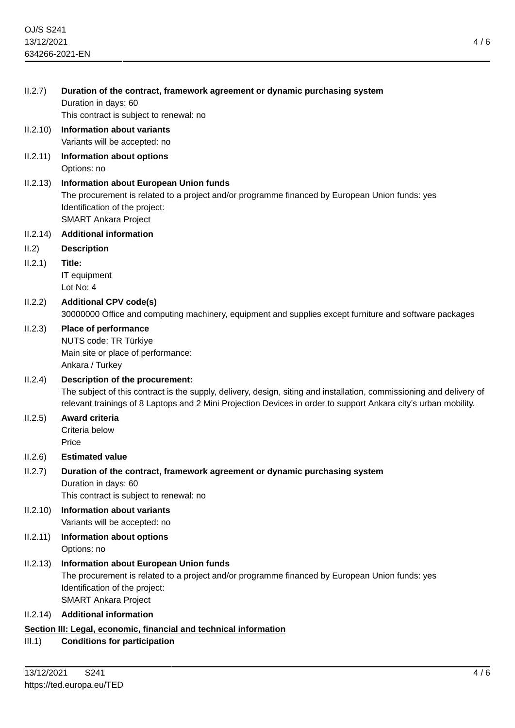| II.2.7)  | Duration of the contract, framework agreement or dynamic purchasing system<br>Duration in days: 60<br>This contract is subject to renewal: no                                                                                                                              |  |  |
|----------|----------------------------------------------------------------------------------------------------------------------------------------------------------------------------------------------------------------------------------------------------------------------------|--|--|
| II.2.10) | <b>Information about variants</b><br>Variants will be accepted: no                                                                                                                                                                                                         |  |  |
| II.2.11) | Information about options<br>Options: no                                                                                                                                                                                                                                   |  |  |
| II.2.13) | <b>Information about European Union funds</b><br>The procurement is related to a project and/or programme financed by European Union funds: yes<br>Identification of the project:<br><b>SMART Ankara Project</b>                                                           |  |  |
| II.2.14) | <b>Additional information</b>                                                                                                                                                                                                                                              |  |  |
| II.2)    | <b>Description</b>                                                                                                                                                                                                                                                         |  |  |
| II.2.1)  | Title:<br>IT equipment<br>Lot No: 4                                                                                                                                                                                                                                        |  |  |
| II.2.2)  | <b>Additional CPV code(s)</b><br>30000000 Office and computing machinery, equipment and supplies except furniture and software packages                                                                                                                                    |  |  |
| II.2.3)  | Place of performance<br>NUTS code: TR Türkiye<br>Main site or place of performance:<br>Ankara / Turkey                                                                                                                                                                     |  |  |
| II.2.4)  | Description of the procurement:<br>The subject of this contract is the supply, delivery, design, siting and installation, commissioning and delivery of<br>relevant trainings of 8 Laptops and 2 Mini Projection Devices in order to support Ankara city's urban mobility. |  |  |
| II.2.5)  | Award criteria<br>Criteria below<br>Price                                                                                                                                                                                                                                  |  |  |
| II.2.6)  | <b>Estimated value</b>                                                                                                                                                                                                                                                     |  |  |
| II.2.7)  | Duration of the contract, framework agreement or dynamic purchasing system<br>Duration in days: 60<br>This contract is subject to renewal: no                                                                                                                              |  |  |
| II.2.10) | <b>Information about variants</b><br>Variants will be accepted: no                                                                                                                                                                                                         |  |  |
| II.2.11) | Information about options<br>Options: no                                                                                                                                                                                                                                   |  |  |
| II.2.13) | Information about European Union funds<br>The procurement is related to a project and/or programme financed by European Union funds: yes<br>Identification of the project:<br><b>SMART Ankara Project</b>                                                                  |  |  |
| II.2.14) | <b>Additional information</b>                                                                                                                                                                                                                                              |  |  |
|          | Section III: Legal, economic, financial and technical information                                                                                                                                                                                                          |  |  |

III.1) **Conditions for participation**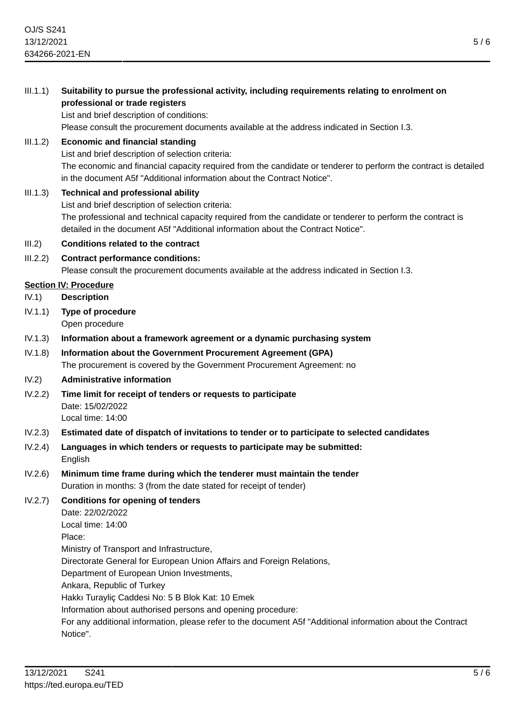5 / 6

 $\overline{5/6}$ 

| III.1.1)   | Suitability to pursue the professional activity, including requirements relating to enrolment on<br>professional or trade registers<br>List and brief description of conditions:<br>Please consult the procurement documents available at the address indicated in Section I.3.                                                                                                                                                                                                                                                |
|------------|--------------------------------------------------------------------------------------------------------------------------------------------------------------------------------------------------------------------------------------------------------------------------------------------------------------------------------------------------------------------------------------------------------------------------------------------------------------------------------------------------------------------------------|
| III.1.2)   | <b>Economic and financial standing</b><br>List and brief description of selection criteria:<br>The economic and financial capacity required from the candidate or tenderer to perform the contract is detailed<br>in the document A5f "Additional information about the Contract Notice".                                                                                                                                                                                                                                      |
| III.1.3)   | <b>Technical and professional ability</b><br>List and brief description of selection criteria:<br>The professional and technical capacity required from the candidate or tenderer to perform the contract is<br>detailed in the document A5f "Additional information about the Contract Notice".                                                                                                                                                                                                                               |
| III.2)     | <b>Conditions related to the contract</b>                                                                                                                                                                                                                                                                                                                                                                                                                                                                                      |
| III.2.2)   | <b>Contract performance conditions:</b><br>Please consult the procurement documents available at the address indicated in Section I.3.                                                                                                                                                                                                                                                                                                                                                                                         |
| IV.1)      | <b>Section IV: Procedure</b><br><b>Description</b>                                                                                                                                                                                                                                                                                                                                                                                                                                                                             |
| IV.1.1)    | <b>Type of procedure</b><br>Open procedure                                                                                                                                                                                                                                                                                                                                                                                                                                                                                     |
| IV.1.3)    | Information about a framework agreement or a dynamic purchasing system                                                                                                                                                                                                                                                                                                                                                                                                                                                         |
| IV.1.8)    | Information about the Government Procurement Agreement (GPA)<br>The procurement is covered by the Government Procurement Agreement: no                                                                                                                                                                                                                                                                                                                                                                                         |
| IV.2)      | Administrative information                                                                                                                                                                                                                                                                                                                                                                                                                                                                                                     |
| IV.2.2)    | Time limit for receipt of tenders or requests to participate<br>Date: 15/02/2022<br>Local time: 14:00                                                                                                                                                                                                                                                                                                                                                                                                                          |
| IV.2.3)    | Estimated date of dispatch of invitations to tender or to participate to selected candidates                                                                                                                                                                                                                                                                                                                                                                                                                                   |
| IV.2.4)    | Languages in which tenders or requests to participate may be submitted:<br>English                                                                                                                                                                                                                                                                                                                                                                                                                                             |
| IV.2.6)    | Minimum time frame during which the tenderer must maintain the tender<br>Duration in months: 3 (from the date stated for receipt of tender)                                                                                                                                                                                                                                                                                                                                                                                    |
| IV.2.7)    | <b>Conditions for opening of tenders</b><br>Date: 22/02/2022<br>Local time: 14:00<br>Place:<br>Ministry of Transport and Infrastructure,<br>Directorate General for European Union Affairs and Foreign Relations,<br>Department of European Union Investments,<br>Ankara, Republic of Turkey<br>Hakkı Turayliç Caddesi No: 5 B Blok Kat: 10 Emek<br>Information about authorised persons and opening procedure:<br>For any additional information, please refer to the document A5f "Additional information about the Contract |
|            | Notice".                                                                                                                                                                                                                                                                                                                                                                                                                                                                                                                       |
| 13/12/2021 | S241<br>5/<br>https://ted.europa.eu/TED                                                                                                                                                                                                                                                                                                                                                                                                                                                                                        |